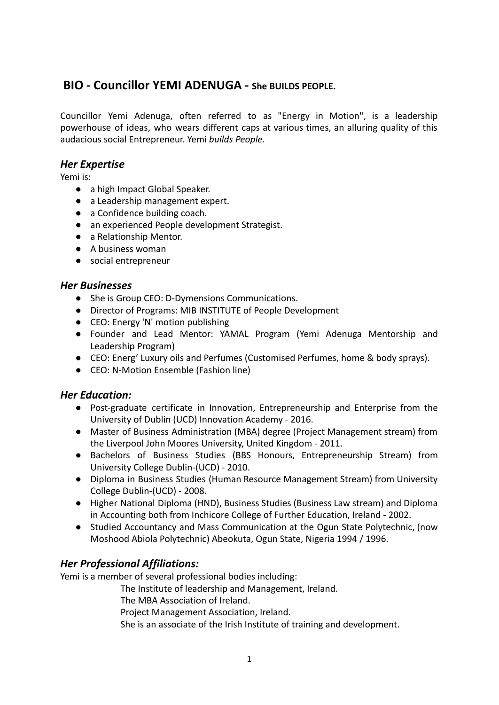# **BIO - Councillor YEMI ADENUGA - She BUILDS PEOPLE.**

Councillor Yemi Adenuga, often referred to as "Energy in Motion", is a leadership powerhouse of ideas, who wears different caps at various times, an alluring quality of this audacious social Entrepreneur. Yemi *builds People.*

### *Her Expertise*

Yemi is:

- a high Impact Global Speaker.
- a Leadership management expert.
- a Confidence building coach.
- an experienced People development Strategist.
- a Relationship Mentor.
- A business woman
- social entrepreneur

### *Her Businesses*

- She is Group CEO: D-Dymensions Communications.
- Director of Programs: MIB INSTITUTE of People Development
- CEO: Energy 'N' motion publishing
- Founder and Lead Mentor: YAMAL Program (Yemi Adenuga Mentorship and Leadership Program)
- CEO: Energ' Luxury oils and Perfumes (Customised Perfumes, home & body sprays).
- CEO: N-Motion Ensemble (Fashion line)

# *Her Education:*

- Post-graduate certificate in Innovation, Entrepreneurship and Enterprise from the University of Dublin (UCD) Innovation Academy - 2016.
- Master of Business Administration (MBA) degree (Project Management stream) from the Liverpool John Moores University, United Kingdom - 2011.
- Bachelors of Business Studies (BBS Honours, Entrepreneurship Stream) from University College Dublin-(UCD) - 2010.
- Diploma in Business Studies (Human Resource Management Stream) from University College Dublin-(UCD) - 2008.
- Higher National Diploma (HND), Business Studies (Business Law stream) and Diploma in Accounting both from Inchicore College of Further Education, Ireland - 2002.
- Studied Accountancy and Mass Communication at the Ogun State Polytechnic, (now Moshood Abiola Polytechnic) Abeokuta, Ogun State, Nigeria 1994 / 1996.

# *Her Professional Affiliations:*

Yemi is a member of several professional bodies including:

The Institute of leadership and Management, Ireland.

The MBA Association of Ireland.

Project Management Association, Ireland.

She is an associate of the Irish Institute of training and development.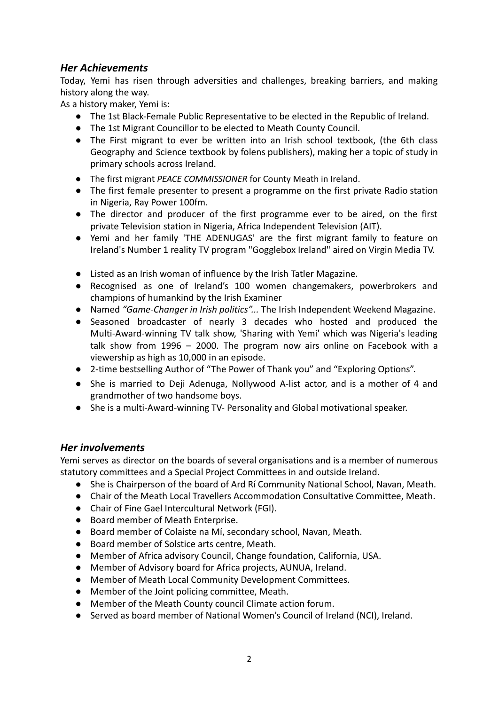# *Her Achievements*

Today, Yemi has risen through adversities and challenges, breaking barriers, and making history along the way.

As a history maker, Yemi is:

- The 1st Black-Female Public Representative to be elected in the Republic of Ireland.
- The 1st Migrant Councillor to be elected to Meath County Council.
- The First migrant to ever be written into an Irish school textbook, (the 6th class Geography and Science textbook by folens publishers), making her a topic of study in primary schools across Ireland.
- The first migrant *PEACE COMMISSIONER* for County Meath in Ireland.
- The first female presenter to present a programme on the first private Radio station in Nigeria, Ray Power 100fm.
- The director and producer of the first programme ever to be aired, on the first private Television station in Nigeria, Africa Independent Television (AIT).
- Yemi and her family 'THE ADENUGAS' are the first migrant family to feature on Ireland's Number 1 reality TV program "Gogglebox Ireland" aired on Virgin Media TV.
- Listed as an Irish woman of influence by the Irish Tatler Magazine.
- Recognised as one of Ireland's 100 women changemakers, powerbrokers and champions of humankind by the Irish Examiner
- Named *"Game-Changer in Irish politics"...* The Irish Independent Weekend Magazine.
- Seasoned broadcaster of nearly 3 decades who hosted and produced the Multi-Award-winning TV talk show, 'Sharing with Yemi' which was Nigeria's leading talk show from 1996 – 2000. The program now airs online on Facebook with a viewership as high as 10,000 in an episode.
- 2-time bestselling Author of "The Power of Thank you" and "Exploring Options".
- She is married to Deji Adenuga, Nollywood A-list actor, and is a mother of 4 and grandmother of two handsome boys.
- She is a multi-Award-winning TV- Personality and Global motivational speaker.

# *Her involvements*

Yemi serves as director on the boards of several organisations and is a member of numerous statutory committees and a Special Project Committees in and outside Ireland.

- She is Chairperson of the board of Ard Rí Community National School, Navan, Meath.
- Chair of the Meath Local Travellers Accommodation Consultative Committee, Meath.
- Chair of Fine Gael Intercultural Network (FGI).
- Board member of Meath Enterprise.
- Board member of Colaiste na Mí, secondary school, Navan, Meath.
- Board member of Solstice arts centre, Meath.
- Member of Africa advisory Council, Change foundation, California, USA.
- Member of Advisory board for Africa projects, AUNUA, Ireland.
- Member of Meath Local Community Development Committees.
- Member of the Joint policing committee, Meath.
- Member of the Meath County council Climate action forum.
- Served as board member of National Women's Council of Ireland (NCI), Ireland.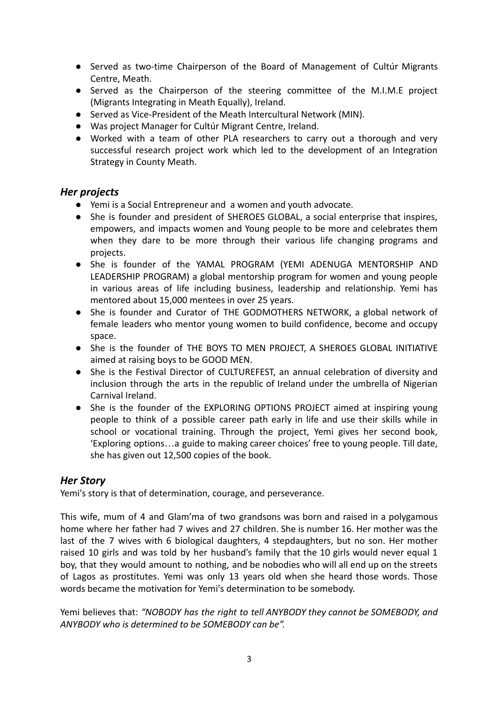- Served as two-time Chairperson of the Board of Management of Cultúr Migrants Centre, Meath.
- Served as the Chairperson of the steering committee of the M.I.M.E project (Migrants Integrating in Meath Equally), Ireland.
- Served as Vice-President of the Meath Intercultural Network (MIN).
- Was project Manager for Cultúr Migrant Centre, Ireland.
- Worked with a team of other PLA researchers to carry out a thorough and very successful research project work which led to the development of an Integration Strategy in County Meath.

### *Her projects*

- Yemi is a Social Entrepreneur and a women and youth advocate.
- She is founder and president of SHEROES GLOBAL, a social enterprise that inspires, empowers, and impacts women and Young people to be more and celebrates them when they dare to be more through their various life changing programs and projects.
- She is founder of the YAMAL PROGRAM (YEMI ADENUGA MENTORSHIP AND LEADERSHIP PROGRAM) a global mentorship program for women and young people in various areas of life including business, leadership and relationship. Yemi has mentored about 15,000 mentees in over 25 years.
- She is founder and Curator of THE GODMOTHERS NETWORK, a global network of female leaders who mentor young women to build confidence, become and occupy space.
- She is the founder of THE BOYS TO MEN PROJECT, A SHEROES GLOBAL INITIATIVE aimed at raising boys to be GOOD MEN.
- She is the Festival Director of CULTUREFEST, an annual celebration of diversity and inclusion through the arts in the republic of Ireland under the umbrella of Nigerian Carnival Ireland.
- She is the founder of the EXPLORING OPTIONS PROJECT aimed at inspiring young people to think of a possible career path early in life and use their skills while in school or vocational training. Through the project, Yemi gives her second book, 'Exploring options…a guide to making career choices' free to young people. Till date, she has given out 12,500 copies of the book.

# *Her Story*

Yemi's story is that of determination, courage, and perseverance.

This wife, mum of 4 and Glam'ma of two grandsons was born and raised in a polygamous home where her father had 7 wives and 27 children. She is number 16. Her mother was the last of the 7 wives with 6 biological daughters, 4 stepdaughters, but no son. Her mother raised 10 girls and was told by her husband's family that the 10 girls would never equal 1 boy, that they would amount to nothing, and be nobodies who will all end up on the streets of Lagos as prostitutes. Yemi was only 13 years old when she heard those words. Those words became the motivation for Yemi's determination to be somebody.

Yemi believes that: *"NOBODY has the right to tell ANYBODY they cannot be SOMEBODY, and ANYBODY who is determined to be SOMEBODY can be".*